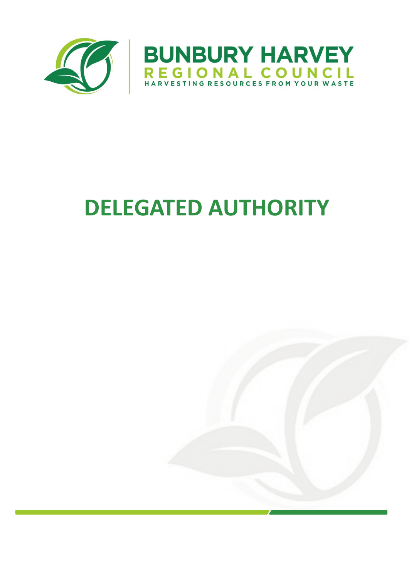

# **DELEGATED AUTHORITY**

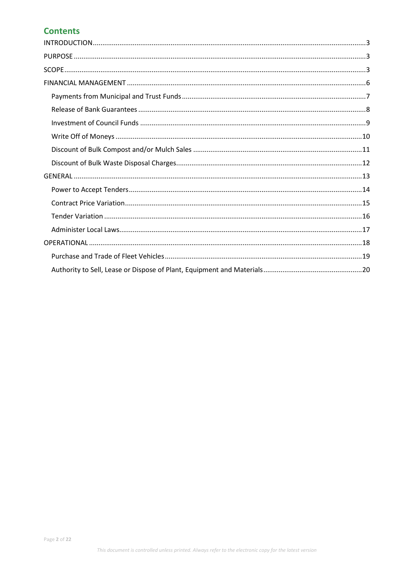### **Contents**

<span id="page-1-0"></span>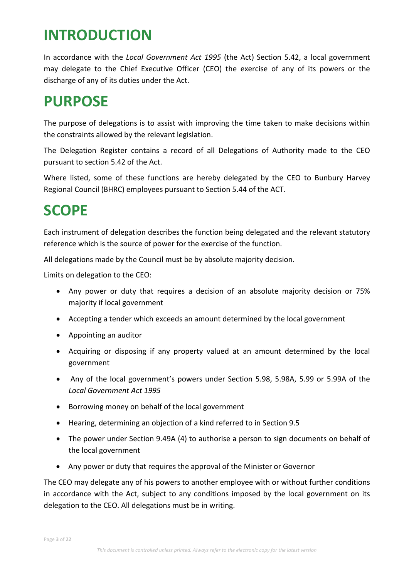### **INTRODUCTION**

In accordance with the *Local Government Act 1995* (the Act) Section 5.42, a local government may delegate to the Chief Executive Officer (CEO) the exercise of any of its powers or the discharge of any of its duties under the Act.

### <span id="page-2-0"></span>**PURPOSE**

The purpose of delegations is to assist with improving the time taken to make decisions within the constraints allowed by the relevant legislation.

The Delegation Register contains a record of all Delegations of Authority made to the CEO pursuant to section 5.42 of the Act.

Where listed, some of these functions are hereby delegated by the CEO to Bunbury Harvey Regional Council (BHRC) employees pursuant to Section 5.44 of the ACT.

### <span id="page-2-1"></span>**SCOPE**

Each instrument of delegation describes the function being delegated and the relevant statutory reference which is the source of power for the exercise of the function.

All delegations made by the Council must be by absolute majority decision.

Limits on delegation to the CEO:

- Any power or duty that requires a decision of an absolute majority decision or 75% majority if local government
- Accepting a tender which exceeds an amount determined by the local government
- Appointing an auditor
- Acquiring or disposing if any property valued at an amount determined by the local government
- Any of the local government's powers under Section 5.98, 5.98A, 5.99 or 5.99A of the *Local Government Act 1995*
- Borrowing money on behalf of the local government
- Hearing, determining an objection of a kind referred to in Section 9.5
- The power under Section 9.49A (4) to authorise a person to sign documents on behalf of the local government
- Any power or duty that requires the approval of the Minister or Governor

The CEO may delegate any of his powers to another employee with or without further conditions in accordance with the Act, subject to any conditions imposed by the local government on its delegation to the CEO. All delegations must be in writing.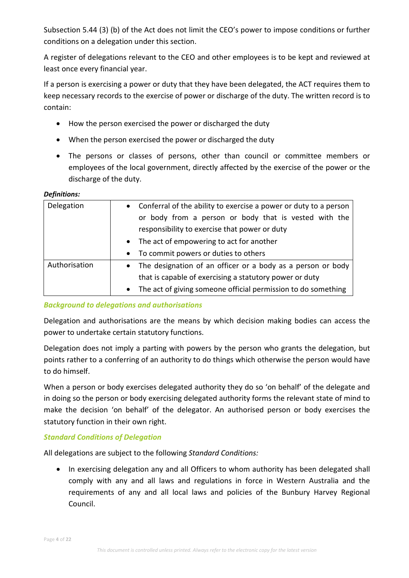Subsection 5.44 (3) (b) of the Act does not limit the CEO's power to impose conditions or further conditions on a delegation under this section.

A register of delegations relevant to the CEO and other employees is to be kept and reviewed at least once every financial year.

If a person is exercising a power or duty that they have been delegated, the ACT requires them to keep necessary records to the exercise of power or discharge of the duty. The written record is to contain:

- How the person exercised the power or discharged the duty
- When the person exercised the power or discharged the duty
- The persons or classes of persons, other than council or committee members or employees of the local government, directly affected by the exercise of the power or the discharge of the duty.

### *Definitions:*

| Delegation    | Conferral of the ability to exercise a power or duty to a person<br>$\bullet$ |
|---------------|-------------------------------------------------------------------------------|
|               | or body from a person or body that is vested with the                         |
|               | responsibility to exercise that power or duty                                 |
|               | The act of empowering to act for another<br>$\bullet$                         |
|               | To commit powers or duties to others<br>$\bullet$                             |
| Authorisation | The designation of an officer or a body as a person or body<br>$\bullet$      |
|               | that is capable of exercising a statutory power or duty                       |
|               | The act of giving someone official permission to do something<br>$\bullet$    |

*Background to delegations and authorisations*

Delegation and authorisations are the means by which decision making bodies can access the power to undertake certain statutory functions.

Delegation does not imply a parting with powers by the person who grants the delegation, but points rather to a conferring of an authority to do things which otherwise the person would have to do himself.

When a person or body exercises delegated authority they do so 'on behalf' of the delegate and in doing so the person or body exercising delegated authority forms the relevant state of mind to make the decision 'on behalf' of the delegator. An authorised person or body exercises the statutory function in their own right.

### *Standard Conditions of Delegation*

All delegations are subject to the following *Standard Conditions:*

• In exercising delegation any and all Officers to whom authority has been delegated shall comply with any and all laws and regulations in force in Western Australia and the requirements of any and all local laws and policies of the Bunbury Harvey Regional Council.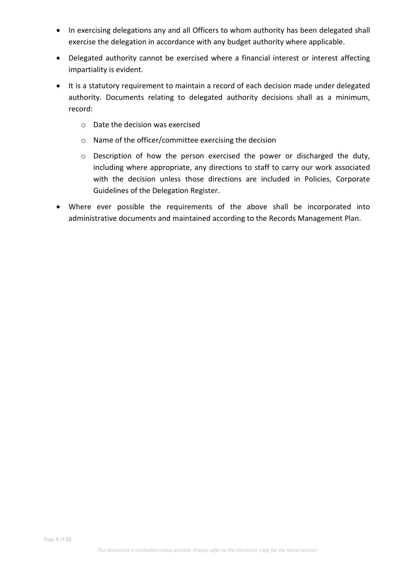- In exercising delegations any and all Officers to whom authority has been delegated shall exercise the delegation in accordance with any budget authority where applicable.
- Delegated authority cannot be exercised where a financial interest or interest affecting impartiality is evident.
- It is a statutory requirement to maintain a record of each decision made under delegated authority. Documents relating to delegated authority decisions shall as a minimum, record:
	- o Date the decision was exercised
	- o Name of the officer/committee exercising the decision
	- o Description of how the person exercised the power or discharged the duty, including where appropriate, any directions to staff to carry our work associated with the decision unless those directions are included in Policies, Corporate Guidelines of the Delegation Register.
- Where ever possible the requirements of the above shall be incorporated into administrative documents and maintained according to the Records Management Plan.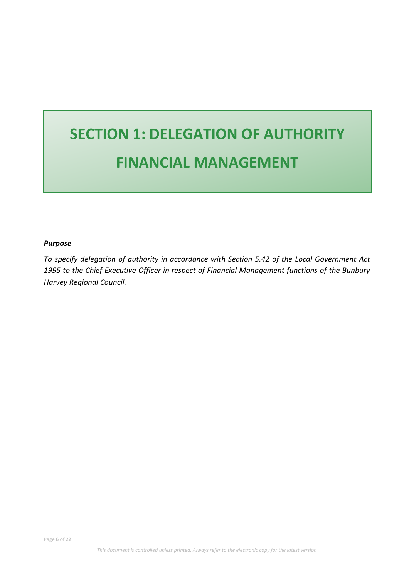## **SECTION 1: DELEGATION OF AUTHORITY FINANCIAL MANAGEMENT**

### *Purpose*

*To specify delegation of authority in accordance with Section 5.42 of the Local Government Act 1995 to the Chief Executive Officer in respect of Financial Management functions of the Bunbury Harvey Regional Council.*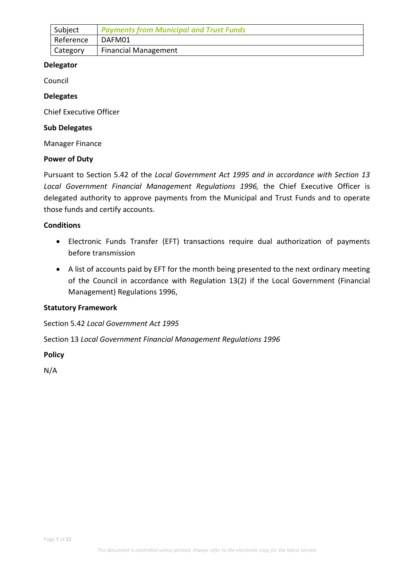<span id="page-6-0"></span>

| Subject   | <b>Payments from Municipal and Trust Funds</b> |
|-----------|------------------------------------------------|
| Reference | DAFM01                                         |
| Category  | <b>Financial Management</b>                    |

Council

### **Delegates**

Chief Executive Officer

### **Sub Delegates**

Manager Finance

### **Power of Duty**

Pursuant to Section 5.42 of the *Local Government Act 1995 and in accordance with Section 13*  Local Government Financial Management Regulations 1996, the Chief Executive Officer is delegated authority to approve payments from the Municipal and Trust Funds and to operate those funds and certify accounts.

### **Conditions**

- Electronic Funds Transfer (EFT) transactions require dual authorization of payments before transmission
- A list of accounts paid by EFT for the month being presented to the next ordinary meeting of the Council in accordance with Regulation 13(2) if the Local Government (Financial Management) Regulations 1996,

### **Statutory Framework**

Section 5.42 *Local Government Act 1995*

Section 13 *Local Government Financial Management Regulations 1996*

**Policy**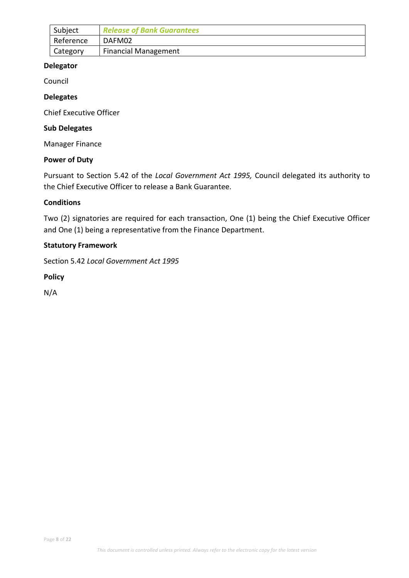<span id="page-7-0"></span>

| <sup>'</sup> Subject | <b>Release of Bank Guarantees</b> |
|----------------------|-----------------------------------|
| Reference            | DAFM02                            |
| Category             | <b>Financial Management</b>       |

Council

### **Delegates**

Chief Executive Officer

### **Sub Delegates**

Manager Finance

### **Power of Duty**

Pursuant to Section 5.42 of the *Local Government Act 1995,* Council delegated its authority to the Chief Executive Officer to release a Bank Guarantee.

### **Conditions**

Two (2) signatories are required for each transaction, One (1) being the Chief Executive Officer and One (1) being a representative from the Finance Department.

### **Statutory Framework**

Section 5.42 *Local Government Act 1995*

**Policy**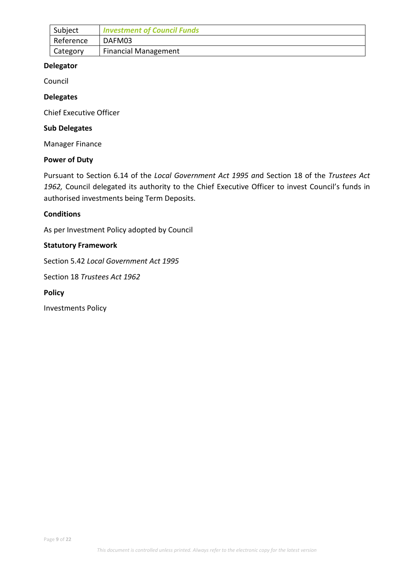<span id="page-8-0"></span>

| Subject   | <b>Investment of Council Funds</b> |
|-----------|------------------------------------|
| Reference | DAFM03                             |
| Category  | <b>Financial Management</b>        |

Council

### **Delegates**

Chief Executive Officer

### **Sub Delegates**

Manager Finance

### **Power of Duty**

Pursuant to Section 6.14 of the *Local Government Act 1995 an*d Section 18 of the *Trustees Act*  1962, Council delegated its authority to the Chief Executive Officer to invest Council's funds in authorised investments being Term Deposits.

### **Conditions**

As per Investment Policy adopted by Council

### **Statutory Framework**

Section 5.42 *Local Government Act 1995*

Section 18 *Trustees Act 1962*

### **Policy**

Investments Policy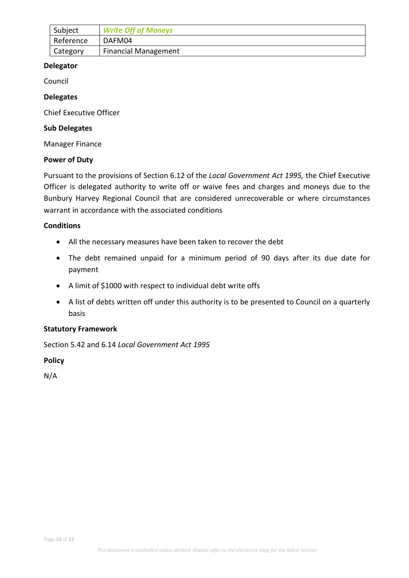<span id="page-9-0"></span>

| Subject   | <b>Write Off of Moneys</b>  |
|-----------|-----------------------------|
| Reference | DAFM04                      |
| Category  | <b>Financial Management</b> |

Council

### **Delegates**

Chief Executive Officer

### **Sub Delegates**

Manager Finance

### **Power of Duty**

Pursuant to the provisions of Section 6.12 of the *Local Government Act 1995,* the Chief Executive Officer is delegated authority to write off or waive fees and charges and moneys due to the Bunbury Harvey Regional Council that are considered unrecoverable or where circumstances warrant in accordance with the associated conditions

### **Conditions**

- All the necessary measures have been taken to recover the debt
- The debt remained unpaid for a minimum period of 90 days after its due date for payment
- A limit of \$1000 with respect to individual debt write offs
- A list of debts written off under this authority is to be presented to Council on a quarterly basis

### **Statutory Framework**

Section 5.42 and 6.14 *Local Government Act 1995*

### **Policy**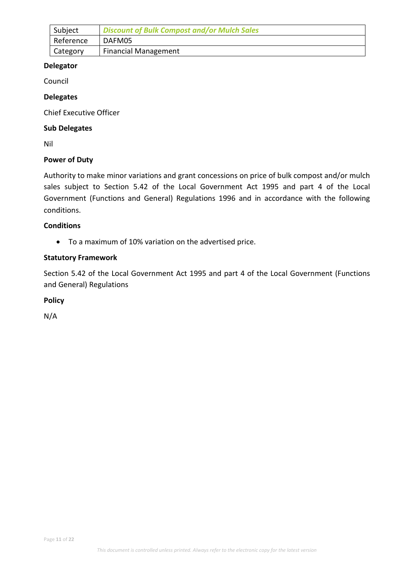<span id="page-10-0"></span>

| Subject   | <b>Discount of Bulk Compost and/or Mulch Sales</b> |
|-----------|----------------------------------------------------|
| Reference | DAFM05                                             |
| Category  | <b>Financial Management</b>                        |

Council

### **Delegates**

Chief Executive Officer

### **Sub Delegates**

Nil

### **Power of Duty**

Authority to make minor variations and grant concessions on price of bulk compost and/or mulch sales subject to Section 5.42 of the Local Government Act 1995 and part 4 of the Local Government (Functions and General) Regulations 1996 and in accordance with the following conditions.

### **Conditions**

• To a maximum of 10% variation on the advertised price.

### **Statutory Framework**

Section 5.42 of the Local Government Act 1995 and part 4 of the Local Government (Functions and General) Regulations

### **Policy**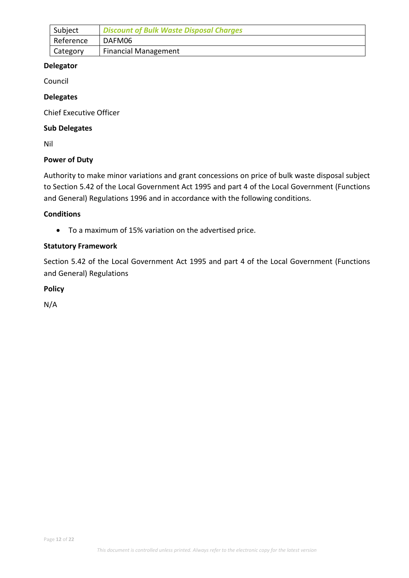<span id="page-11-0"></span>

| Subject   | <b>Discount of Bulk Waste Disposal Charges</b> |
|-----------|------------------------------------------------|
| Reference | DAFM06                                         |
| Category  | <b>Financial Management</b>                    |

Council

### **Delegates**

Chief Executive Officer

### **Sub Delegates**

Nil

### **Power of Duty**

Authority to make minor variations and grant concessions on price of bulk waste disposal subject to Section 5.42 of the Local Government Act 1995 and part 4 of the Local Government (Functions and General) Regulations 1996 and in accordance with the following conditions.

### **Conditions**

• To a maximum of 15% variation on the advertised price.

### **Statutory Framework**

Section 5.42 of the Local Government Act 1995 and part 4 of the Local Government (Functions and General) Regulations

### **Policy**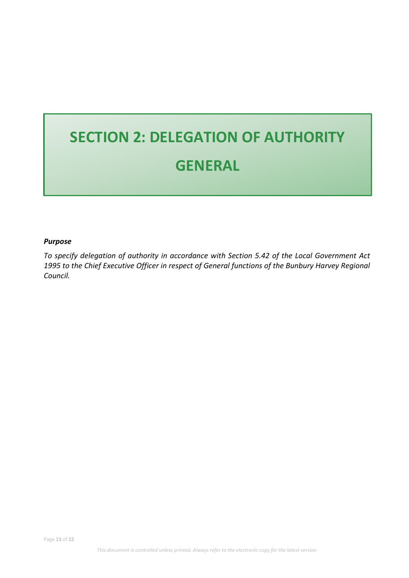## **SECTION 2: DELEGATION OF AUTHORITY GENERAL**

### *Purpose*

*To specify delegation of authority in accordance with Section 5.42 of the Local Government Act 1995 to the Chief Executive Officer in respect of General functions of the Bunbury Harvey Regional Council.*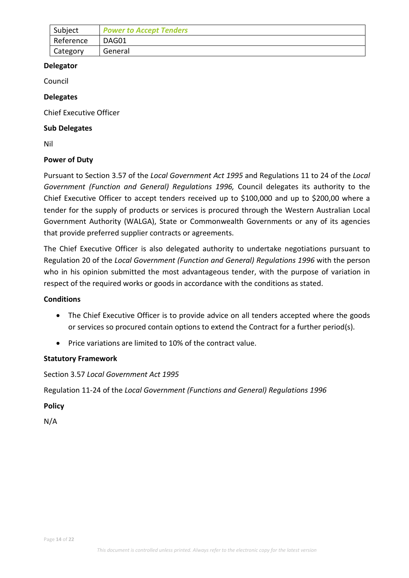<span id="page-13-0"></span>

| Subject   | <b>Power to Accept Tenders</b> |
|-----------|--------------------------------|
| Reference | DAG01                          |
| Category  | General                        |

Council

### **Delegates**

Chief Executive Officer

### **Sub Delegates**

Nil

### **Power of Duty**

Pursuant to Section 3.57 of the *Local Government Act 1995* and Regulations 11 to 24 of the *Local Government (Function and General) Regulations 1996,* Council delegates its authority to the Chief Executive Officer to accept tenders received up to \$100,000 and up to \$200,00 where a tender for the supply of products or services is procured through the Western Australian Local Government Authority (WALGA), State or Commonwealth Governments or any of its agencies that provide preferred supplier contracts or agreements.

The Chief Executive Officer is also delegated authority to undertake negotiations pursuant to Regulation 20 of the *Local Government (Function and General) Regulations 1996* with the person who in his opinion submitted the most advantageous tender, with the purpose of variation in respect of the required works or goods in accordance with the conditions as stated.

### **Conditions**

- The Chief Executive Officer is to provide advice on all tenders accepted where the goods or services so procured contain options to extend the Contract for a further period(s).
- Price variations are limited to 10% of the contract value.

### **Statutory Framework**

Section 3.57 *Local Government Act 1995*

Regulation 11-24 of the *Local Government (Functions and General) Regulations 1996* 

**Policy**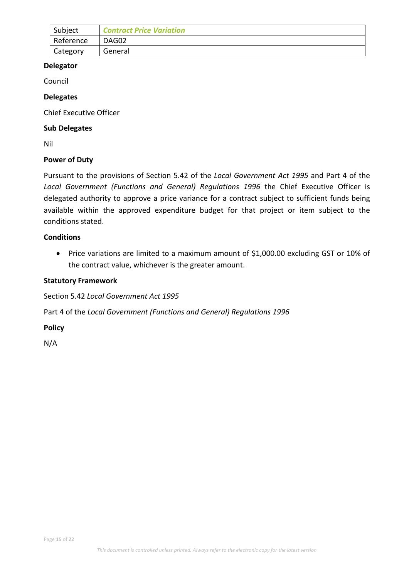<span id="page-14-0"></span>

| Subject   | <b>Contract Price Variation</b> |
|-----------|---------------------------------|
| Reference | DAG02                           |
| Category  | General                         |

Council

### **Delegates**

Chief Executive Officer

### **Sub Delegates**

Nil

### **Power of Duty**

Pursuant to the provisions of Section 5.42 of the *Local Government Act 1995* and Part 4 of the *Local Government (Functions and General) Regulations 1996* the Chief Executive Officer is delegated authority to approve a price variance for a contract subject to sufficient funds being available within the approved expenditure budget for that project or item subject to the conditions stated.

### **Conditions**

• Price variations are limited to a maximum amount of \$1,000.00 excluding GST or 10% of the contract value, whichever is the greater amount.

### **Statutory Framework**

Section 5.42 *Local Government Act 1995*

Part 4 of the *Local Government (Functions and General) Regulations 1996* 

**Policy**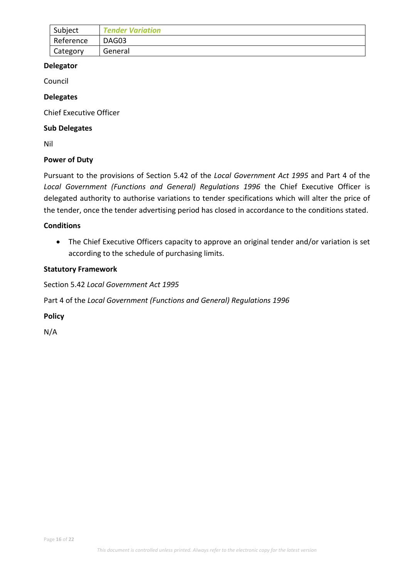<span id="page-15-0"></span>

| Subject   | <b>Tender Variation</b> |
|-----------|-------------------------|
| Reference | DAG03                   |
| Category  | General                 |

Council

### **Delegates**

Chief Executive Officer

### **Sub Delegates**

Nil

### **Power of Duty**

Pursuant to the provisions of Section 5.42 of the *Local Government Act 1995* and Part 4 of the *Local Government (Functions and General) Regulations 1996* the Chief Executive Officer is delegated authority to authorise variations to tender specifications which will alter the price of the tender, once the tender advertising period has closed in accordance to the conditions stated.

### **Conditions**

• The Chief Executive Officers capacity to approve an original tender and/or variation is set according to the schedule of purchasing limits.

### **Statutory Framework**

Section 5.42 *Local Government Act 1995*

Part 4 of the *Local Government (Functions and General) Regulations 1996* 

**Policy**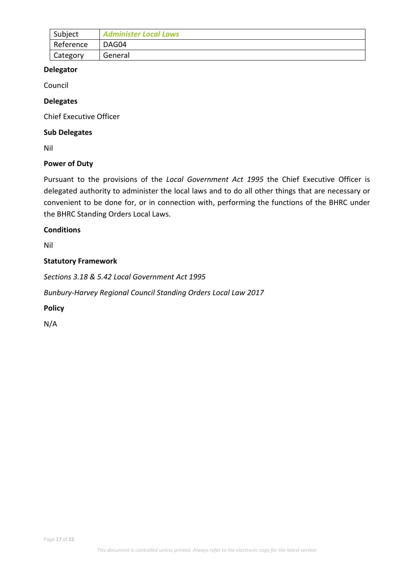<span id="page-16-0"></span>

| Subject   | <b>Administer Local Laws</b> |
|-----------|------------------------------|
| Reference | DAG04                        |
| Category  | General                      |

Council

### **Delegates**

Chief Executive Officer

### **Sub Delegates**

Nil

### **Power of Duty**

Pursuant to the provisions of the *Local Government Act 1995* the Chief Executive Officer is delegated authority to administer the local laws and to do all other things that are necessary or convenient to be done for, or in connection with, performing the functions of the BHRC under the BHRC Standing Orders Local Laws.

### **Conditions**

Nil

### **Statutory Framework**

*Sections 3.18 & 5.42 Local Government Act 1995*

*Bunbury-Harvey Regional Council Standing Orders Local Law 2017*

### **Policy**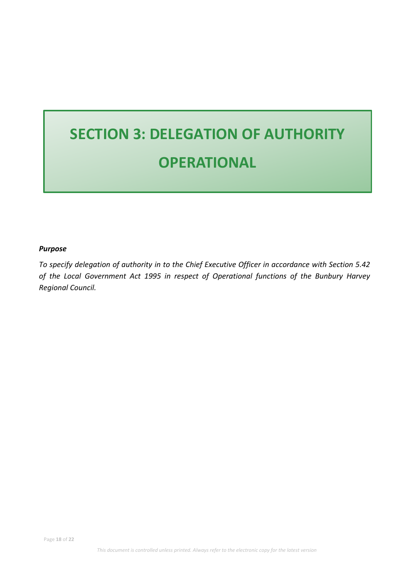## **SECTION 3: DELEGATION OF AUTHORITY OPERATIONAL**

### *Purpose*

*To specify delegation of authority in to the Chief Executive Officer in accordance with Section 5.42 of the Local Government Act 1995 in respect of Operational functions of the Bunbury Harvey Regional Council.*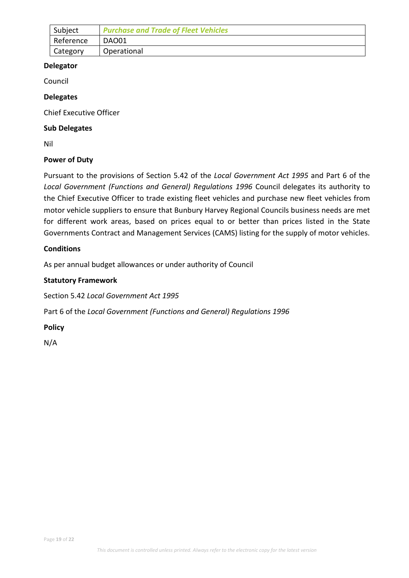<span id="page-18-0"></span>

| Subject   | <b>Purchase and Trade of Fleet Vehicles</b> |
|-----------|---------------------------------------------|
| Reference | DAO01                                       |
| Category  | Operational                                 |

Council

### **Delegates**

Chief Executive Officer

### **Sub Delegates**

Nil

### **Power of Duty**

Pursuant to the provisions of Section 5.42 of the *Local Government Act 1995* and Part 6 of the *Local Government (Functions and General) Regulations 1996* Council delegates its authority to the Chief Executive Officer to trade existing fleet vehicles and purchase new fleet vehicles from motor vehicle suppliers to ensure that Bunbury Harvey Regional Councils business needs are met for different work areas, based on prices equal to or better than prices listed in the State Governments Contract and Management Services (CAMS) listing for the supply of motor vehicles.

### **Conditions**

As per annual budget allowances or under authority of Council

### **Statutory Framework**

Section 5.42 *Local Government Act 1995*

Part 6 of the *Local Government (Functions and General) Regulations 1996* 

**Policy**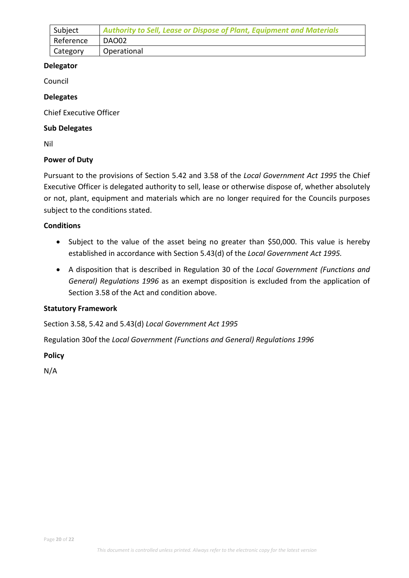<span id="page-19-0"></span>

| Subject   | <b>Authority to Sell, Lease or Dispose of Plant, Equipment and Materials</b> |
|-----------|------------------------------------------------------------------------------|
| Reference | DAO02                                                                        |
| Category  | Operational                                                                  |

Council

### **Delegates**

Chief Executive Officer

### **Sub Delegates**

Nil

### **Power of Duty**

Pursuant to the provisions of Section 5.42 and 3.58 of the *Local Government Act 1995* the Chief Executive Officer is delegated authority to sell, lease or otherwise dispose of, whether absolutely or not, plant, equipment and materials which are no longer required for the Councils purposes subject to the conditions stated.

### **Conditions**

- Subject to the value of the asset being no greater than \$50,000. This value is hereby established in accordance with Section 5.43(d) of the *Local Government Act 1995.*
- A disposition that is described in Regulation 30 of the *Local Government (Functions and General) Regulations 1996* as an exempt disposition is excluded from the application of Section 3.58 of the Act and condition above.

### **Statutory Framework**

Section 3.58, 5.42 and 5.43(d) *Local Government Act 1995*

Regulation 30of the *Local Government (Functions and General) Regulations 1996* 

**Policy**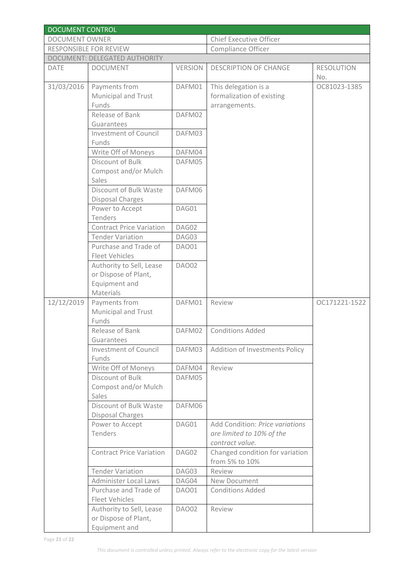| <b>DOCUMENT CONTROL</b>       |                                                |                |                                              |                          |  |  |
|-------------------------------|------------------------------------------------|----------------|----------------------------------------------|--------------------------|--|--|
| <b>DOCUMENT OWNER</b>         |                                                |                | <b>Chief Executive Officer</b>               |                          |  |  |
|                               | RESPONSIBLE FOR REVIEW                         |                | Compliance Officer                           |                          |  |  |
| DOCUMENT: DELEGATED AUTHORITY |                                                |                |                                              |                          |  |  |
| <b>DATE</b>                   | <b>DOCUMENT</b>                                | <b>VERSION</b> | <b>DESCRIPTION OF CHANGE</b>                 | <b>RESOLUTION</b><br>No. |  |  |
| 31/03/2016                    | Payments from                                  | DAFM01         | This delegation is a                         | OC81023-1385             |  |  |
|                               | <b>Municipal and Trust</b>                     |                | formalization of existing                    |                          |  |  |
|                               | Funds                                          |                | arrangements.                                |                          |  |  |
|                               | Release of Bank                                | DAFM02         |                                              |                          |  |  |
|                               | Guarantees                                     |                |                                              |                          |  |  |
|                               | <b>Investment of Council</b>                   | DAFM03         |                                              |                          |  |  |
|                               | Funds                                          |                |                                              |                          |  |  |
|                               | Write Off of Moneys                            | DAFM04         |                                              |                          |  |  |
|                               | Discount of Bulk                               | DAFM05         |                                              |                          |  |  |
|                               | Compost and/or Mulch                           |                |                                              |                          |  |  |
|                               | Sales                                          |                |                                              |                          |  |  |
|                               | Discount of Bulk Waste                         | DAFM06         |                                              |                          |  |  |
|                               | <b>Disposal Charges</b>                        |                |                                              |                          |  |  |
|                               | Power to Accept                                | DAG01          |                                              |                          |  |  |
|                               | Tenders                                        |                |                                              |                          |  |  |
|                               | <b>Contract Price Variation</b>                | DAG02          |                                              |                          |  |  |
|                               | <b>Tender Variation</b>                        | DAG03          |                                              |                          |  |  |
|                               | Purchase and Trade of<br><b>Fleet Vehicles</b> | <b>DAO01</b>   |                                              |                          |  |  |
|                               | Authority to Sell, Lease                       | <b>DAO02</b>   |                                              |                          |  |  |
|                               | or Dispose of Plant,                           |                |                                              |                          |  |  |
|                               | Equipment and                                  |                |                                              |                          |  |  |
|                               | Materials                                      |                |                                              |                          |  |  |
| 12/12/2019                    | Payments from                                  | DAFM01         | Review                                       | OC171221-1522            |  |  |
|                               | Municipal and Trust                            |                |                                              |                          |  |  |
|                               | Funds                                          |                |                                              |                          |  |  |
|                               | Release of Bank                                | DAFM02         | <b>Conditions Added</b>                      |                          |  |  |
|                               | Guarantees<br><b>Investment of Council</b>     | DAFM03         |                                              |                          |  |  |
|                               | Funds                                          |                | Addition of Investments Policy               |                          |  |  |
|                               | Write Off of Moneys                            | DAFM04         | Review                                       |                          |  |  |
|                               | Discount of Bulk                               | DAFM05         |                                              |                          |  |  |
|                               | Compost and/or Mulch                           |                |                                              |                          |  |  |
|                               | Sales                                          |                |                                              |                          |  |  |
|                               | Discount of Bulk Waste                         | DAFM06         |                                              |                          |  |  |
|                               | <b>Disposal Charges</b>                        | DAG01          | Add Condition: Price variations              |                          |  |  |
|                               | Power to Accept<br>Tenders                     |                |                                              |                          |  |  |
|                               |                                                |                | are limited to 10% of the<br>contract value. |                          |  |  |
|                               | <b>Contract Price Variation</b>                | DAG02          | Changed condition for variation              |                          |  |  |
|                               |                                                |                | from 5% to 10%                               |                          |  |  |
|                               | <b>Tender Variation</b>                        | DAG03          | Review                                       |                          |  |  |
|                               | Administer Local Laws                          | DAG04          | New Document                                 |                          |  |  |
|                               | Purchase and Trade of                          | DAO01          | <b>Conditions Added</b>                      |                          |  |  |
|                               | <b>Fleet Vehicles</b>                          |                |                                              |                          |  |  |
|                               | Authority to Sell, Lease                       | DAO02          | Review                                       |                          |  |  |
|                               | or Dispose of Plant,                           |                |                                              |                          |  |  |
|                               | Equipment and                                  |                |                                              |                          |  |  |